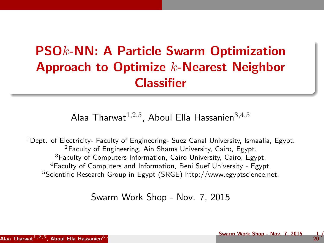## PSOk-NN: A Particle Swarm Optimization Approach to Optimize k-Nearest Neighbor **Classifier**

Alaa Tharwat $^{1,2,5}$ , Aboul Ella Hassanien $^{3,4,5}$ 

<sup>1</sup>Dept. of Electricity- Faculty of Engineering- Suez Canal University, Ismaalia, Egypt. <sup>2</sup>Faculty of Engineering, Ain Shams University, Cairo, Egypt. <sup>3</sup>Faculty of Computers Information, Cairo University, Cairo, Egypt.  $4$ Faculty of Computers and Information, Beni Suef University - Egypt. <sup>5</sup>Scientific Research Group in Egypt (SRGE) http://www.egyptscience.net.

Swarm Work Shop - Nov. 7, 2015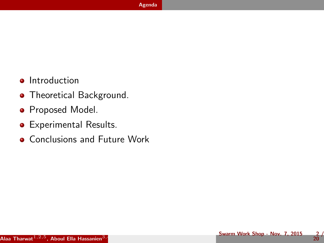- <span id="page-1-0"></span>**•** Introduction
- **•** Theoretical Background.
- **•** Proposed Model.
- Experimental Results.
- **Conclusions and Future Work**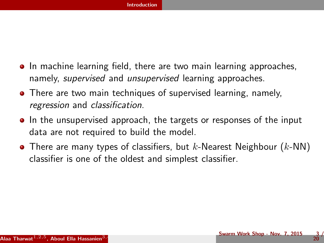- <span id="page-2-0"></span>**In machine learning field, there are two main learning approaches,** namely, supervised and unsupervised learning approaches.
- **•** There are two main techniques of supervised learning, namely, regression and classification.
- In the unsupervised approach, the targets or responses of the input data are not required to build the model.
- There are many types of classifiers, but  $k$ -Nearest Neighbour  $(k$ -NN) classifier is one of the oldest and simplest classifier.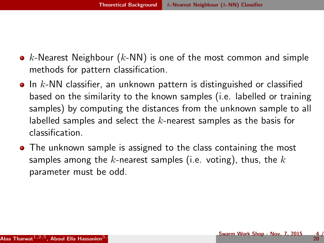- <span id="page-3-0"></span>•  $k$ -Nearest Neighbour ( $k$ -NN) is one of the most common and simple methods for pattern classification.
- $\bullet$  In k-NN classifier, an unknown pattern is distinguished or classified based on the similarity to the known samples (i.e. labelled or training samples) by computing the distances from the unknown sample to all labelled samples and select the  $k$ -nearest samples as the basis for classification.
- The unknown sample is assigned to the class containing the most samples among the k-nearest samples (i.e. voting), thus, the  $k$ parameter must be odd.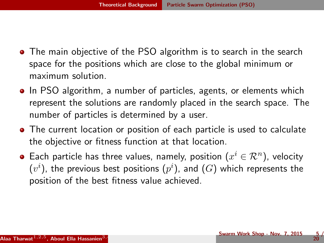- <span id="page-4-0"></span>**•** The main objective of the PSO algorithm is to search in the search space for the positions which are close to the global minimum or maximum solution.
- In PSO algorithm, a number of particles, agents, or elements which represent the solutions are randomly placed in the search space. The number of particles is determined by a user.
- The current location or position of each particle is used to calculate the objective or fitness function at that location.
- Each particle has three values, namely, position  $(x^i \in \mathcal{R}^n)$ , velocity  $\left( v^{i}\right)$ , the previous best positions  $(p^{i})$ , and  $(G)$  which represents the position of the best fitness value achieved.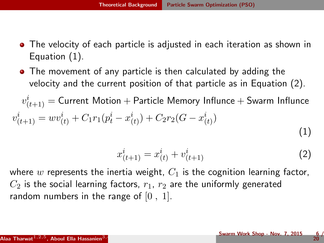- <span id="page-5-0"></span>• The velocity of each particle is adjusted in each iteration as shown in Equation [\(1\)](#page-5-1).
- The movement of any particle is then calculated by adding the velocity and the current position of that particle as in Equation [\(2\)](#page-5-2).

 $v_{(t+1)}^i = \textsf{Current Motion} + \textsf{Particle Memory Influence} + \textsf{Swarm Influence}$  $v_{(t+1)}^i = w v_{(t)}^i + C_1 r_1 (p_t^i - x_{(t)}^i) + C_2 r_2 (G - x_{(t)}^i)$ (1)

<span id="page-5-2"></span><span id="page-5-1"></span>
$$
x_{(t+1)}^i = x_{(t)}^i + v_{(t+1)}^i \tag{2}
$$

where w represents the inertia weight,  $C_1$  is the cognition learning factor,  $C_2$  is the social learning factors,  $r_1$ ,  $r_2$  are the uniformly generated random numbers in the range of  $[0, 1]$ .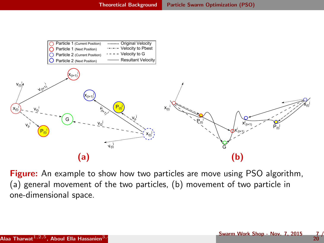<span id="page-6-0"></span>

Figure: An example to show how two particles are move using PSO algorithm, (a) general movement of the two particles, (b) movement of two particle in one-dimensional space.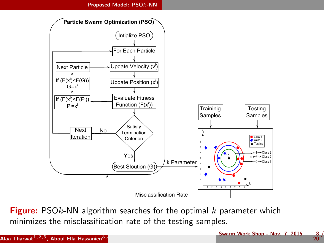<span id="page-7-0"></span>

**Figure:** PSO $k$ -NN algorithm searches for the optimal  $k$  parameter which minimizes the misclassification rate of the testing samples.

 $\frac{8}{20}$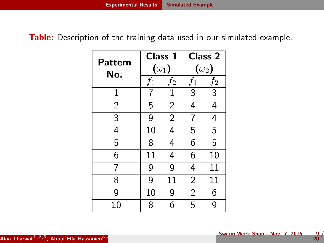<span id="page-8-0"></span>Table: Description of the training data used in our simulated example.

| Pattern        |       | Class 1        | Class 2        |       |
|----------------|-------|----------------|----------------|-------|
| No.            |       | $(\omega_1)$   | $(\omega_2)$   |       |
|                | $f_1$ | $f_2$          | $f_1$          | $f_2$ |
| $\mathbf 1$    | 7     | $\mathbf{1}$   | 3              | 3     |
| $\overline{2}$ | 5     | $\overline{2}$ | 4              | 4     |
| 3              | 9     | $\overline{2}$ | 7              | 4     |
| 4              | 10    | 4              | 5              | 5     |
| 5              | 8     | 4              | 6              | 5     |
| 6              | 11    | 4              | 6              | 10    |
| 7              | 9     | 9              | 4              | 11    |
| 8              | 9     | 11             | $\overline{2}$ | 11    |
| 9              | 10    | 9              | $\overline{2}$ | 6     |
| 10             | 8     | 6              | 5              | 9     |

 $\frac{9}{20}$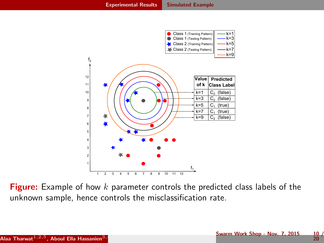<span id="page-9-0"></span>

Figure: Example of how  $k$  parameter controls the predicted class labels of the unknown sample, hence controls the misclassification rate.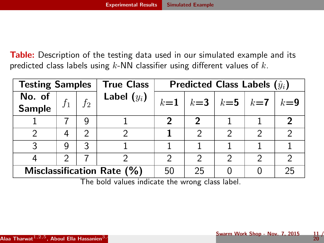<span id="page-10-0"></span>Table: Description of the testing data used in our simulated example and its predicted class labels using  $k$ -NN classifier using different values of  $k$ .

| <b>Testing Samples</b><br><b>True Class</b> |               | Predicted Class Labels $(\hat{y}_i)$ |               |               |                   |    |  |       |
|---------------------------------------------|---------------|--------------------------------------|---------------|---------------|-------------------|----|--|-------|
| No. of<br><b>Sample</b>                     | $f_1$         | $\vert f_2 \vert$                    | Label $(y_i)$ | $k=1$         | $k=3$ $k=5$ $k=7$ |    |  | $k=9$ |
|                                             |               |                                      |               |               | 2                 |    |  |       |
|                                             | 4             | ာ                                    |               |               | 2                 | ∍  |  |       |
| ર                                           | q             | 3                                    |               |               |                   |    |  |       |
|                                             | $\mathcal{P}$ |                                      |               | $\mathcal{P}$ | $\mathcal{P}$     | 2  |  |       |
| Misclassification Rate (%)                  |               | 50                                   | 25            |               |                   | 25 |  |       |

The bold values indicate the wrong class label.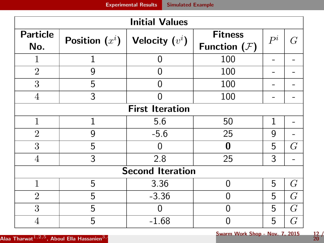<span id="page-11-0"></span>

| <b>Initial Values</b>   |                  |                        |                                  |       |      |  |  |  |
|-------------------------|------------------|------------------------|----------------------------------|-------|------|--|--|--|
| <b>Particle</b><br>No.  | Position $(x^i)$ | Velocity $(v^i)$       | <b>Fitness</b><br>Function $(F)$ | $P^i$ | G    |  |  |  |
| 1                       | 1                | 0                      | 100                              |       |      |  |  |  |
| $\overline{2}$          | 9                | 0                      | 100                              |       |      |  |  |  |
| 3                       | 5                | 0                      | 100                              |       |      |  |  |  |
| 4                       | 3                |                        | 100                              |       |      |  |  |  |
|                         |                  | <b>First Iteration</b> |                                  |       |      |  |  |  |
| 1                       | 1                | 5.6                    | 50                               | 1     |      |  |  |  |
| $\overline{2}$          | 9                | $-5.6$                 | 25                               | 9     |      |  |  |  |
| 3                       | 5                |                        | 0                                | 5     | G    |  |  |  |
| 4                       | 3                | 2.8                    | 25                               | 3     |      |  |  |  |
| <b>Second Iteration</b> |                  |                        |                                  |       |      |  |  |  |
| $\mathbf{1}$            | 5                | 3.36                   | 0                                | 5     | G    |  |  |  |
| $\overline{2}$          | 5                | $-3.36$                |                                  | 5     | $G\$ |  |  |  |
| 3                       | 5                |                        | 0                                | 5     | G    |  |  |  |
|                         | 5                | $-1.68$                |                                  | 5     | G    |  |  |  |

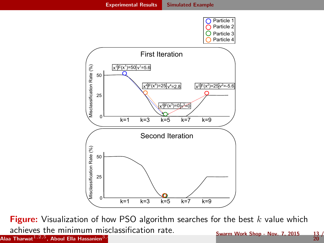<span id="page-12-0"></span>

Figure: Visualization of how PSO algorithm searches for the best  $k$  value which achieves the minimum misclassification rate. Alaa Tharwat $^{1,2,5}$ , Aboul Ella Hassanien $^{3,5}$ Swarm Work Shop - Nov. 7, 2015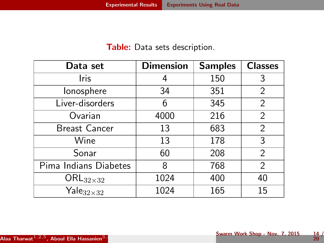## Table: Data sets description.

<span id="page-13-0"></span>

| Data set                     | <b>Dimension</b> | <b>Samples</b> | <b>Classes</b> |
|------------------------------|------------------|----------------|----------------|
| Iris                         |                  | 150            | 3              |
| lonosphere                   | 34               | 351            | 2              |
| Liver-disorders              | 6                | 345            | $\overline{2}$ |
| Ovarian                      | 4000             | 216            | $\overline{2}$ |
| <b>Breast Cancer</b>         | 13               | 683            | 2              |
| Wine                         | 13               | 178            | 3              |
| Sonar                        | 60               | 208            | 2              |
| Pima Indians Diabetes        | 8                | 768            | 2              |
| $\mathsf{ORL}_{32\times32}$  | 1024             | 400            | 40             |
| $\mathsf{Yale}_{32\times32}$ | 1024             | 165            | 15             |

 $\frac{14}{20}$  /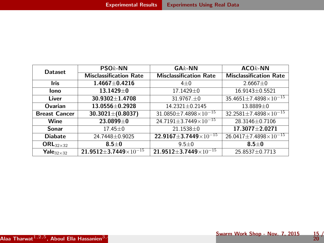<span id="page-14-0"></span>

| <b>Dataset</b>               | $PSOk$ -NN                                      | $G A k$ -NN                                     | $ACOk$ -NN                           |  |
|------------------------------|-------------------------------------------------|-------------------------------------------------|--------------------------------------|--|
|                              | <b>Misclassification Rate</b>                   | <b>Misclassification Rate</b>                   | <b>Misclassification Rate</b>        |  |
| Iris                         | $1.4667 + 0.4216$                               | $4\pm0$                                         | $2.6667 \pm 0$                       |  |
| lono                         | $13.1429 \pm 0$                                 | 17.1429±0                                       | 16.9143±0.5521                       |  |
| Liver                        | $30.9302 \pm 1.4708$                            | $31.9767 \pm 0$                                 | $35.4651 \pm 7.4898 \times 10^{-15}$ |  |
| Ovarian                      | $13.0556 \pm 0.2928$                            | 14.2321±0.2145                                  | 13.8889±0                            |  |
| <b>Breast Cancer</b>         | $30.3021 \pm (0.8037)$                          | $31.0850 \pm 7.4898 \times 10^{-15}$            | $32.2581 \pm 7.4898 \times 10^{-15}$ |  |
| Wine                         | 23.0899±0                                       | $24.7191 \pm 3.7449 \times 10^{-15}$            | 28.3146±0.7106                       |  |
| Sonar                        | $17.45 \pm 0$                                   | 21.1538±0                                       | $17.3077 + 2.0271$                   |  |
| <b>Diabate</b>               | 24.7448±0.9025                                  | 22.9167 $\pm$ 3.7449 $\times$ 10 <sup>-15</sup> | $26.0417 \pm 7.4898 \times 10^{-15}$ |  |
| $\mathsf{ORL}_{32\times32}$  | $8.5 \pm 0$                                     | $9.5 + 0$                                       | $8.5 \pm 0$                          |  |
| $\textbf{Yale}_{32\times32}$ | 21.9512 $\pm$ 3.7449 $\times$ 10 <sup>-15</sup> | 21.9512 $\pm$ 3.7449 $\times$ 10 <sup>-15</sup> | 25.8537±0.7713                       |  |

 $\frac{15}{20}$  /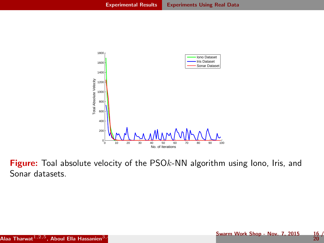<span id="page-15-0"></span>

Figure: Toal absolute velocity of the PSOk-NN algorithm using lono, Iris, and Sonar datasets.

Swarm Work Shop - Nov. 7, 2015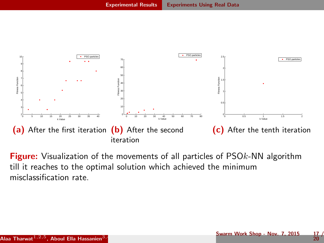<span id="page-16-0"></span>

**Figure:** Visualization of the movements of all particles of PSO<sub>k</sub>-NN algorithm till it reaches to the optimal solution which achieved the minimum misclassification rate.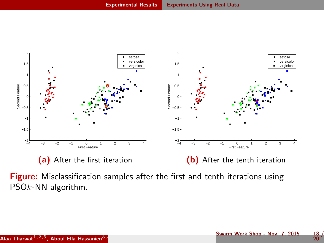<span id="page-17-0"></span>

Figure: Misclassification samples after the first and tenth iterations using PSOk-NN algorithm.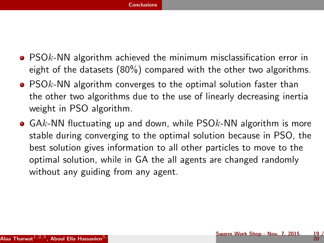- <span id="page-18-0"></span>• PSOk-NN algorithm achieved the minimum misclassification error in eight of the datasets (80%) compared with the other two algorithms.
- $\bullet$  PSOk-NN algorithm converges to the optimal solution faster than the other two algorithms due to the use of linearly decreasing inertia weight in PSO algorithm.
- $\bullet$  GAk-NN fluctuating up and down, while PSO $k$ -NN algorithm is more stable during converging to the optimal solution because in PSO, the best solution gives information to all other particles to move to the optimal solution, while in GA the all agents are changed randomly without any guiding from any agent.